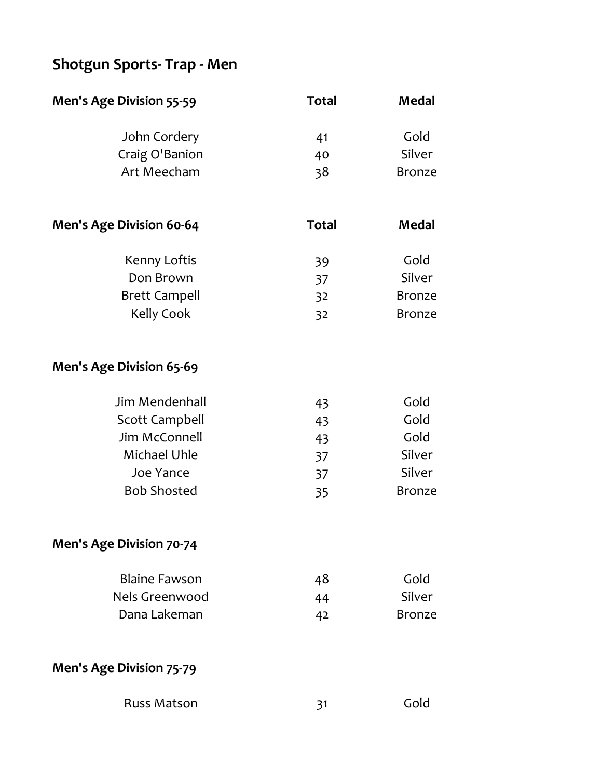# **Shotgun Sports- Trap - Men**

| John Cordery   | 41 | Gold          |
|----------------|----|---------------|
| Craig O'Banion | 40 | Silver        |
| Art Meecham    | 38 | <b>Bronze</b> |
|                |    |               |
|                |    |               |

| <b>Men's Age Division 60-64</b> | <b>Total</b> | Medal         |
|---------------------------------|--------------|---------------|
| Kenny Loftis                    | 39           | Gold          |
| Don Brown                       | 37           | Silver        |
| <b>Brett Campell</b>            | 32           | <b>Bronze</b> |
| Kelly Cook                      | 32           | <b>Bronze</b> |

## **Men's Age Division 65-69**

| Jim Mendenhall     | 43 | Gold          |
|--------------------|----|---------------|
| Scott Campbell     | 43 | Gold          |
| Jim McConnell      | 43 | Gold          |
| Michael Uhle       | 37 | Silver        |
| Joe Yance          | 37 | Silver        |
| <b>Bob Shosted</b> | 35 | <b>Bronze</b> |

**Men's Age Division 70-74**

| <b>Blaine Fawson</b> | 48 | Gold          |
|----------------------|----|---------------|
| Nels Greenwood       | 44 | Silver        |
| Dana Lakeman         | 42 | <b>Bronze</b> |

**Men's Age Division 75-79**

| <b>Russ Matson</b> | Gold |
|--------------------|------|
|                    |      |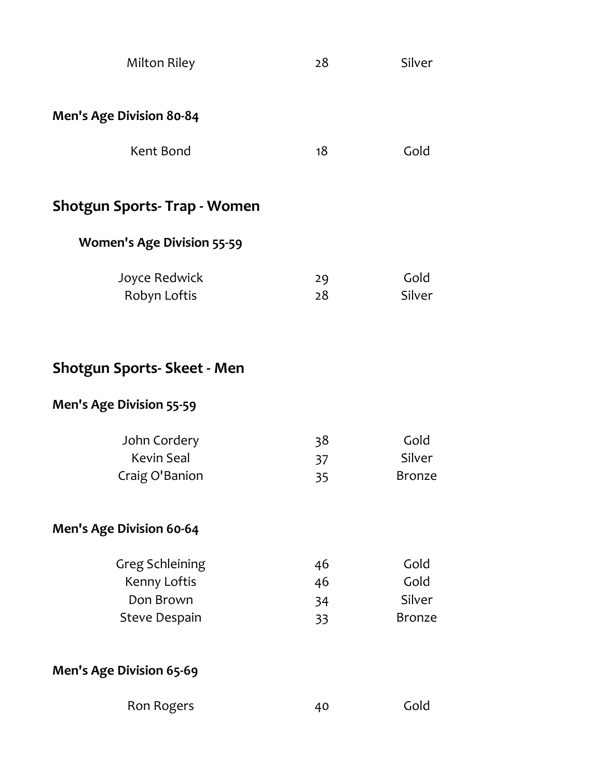| <b>Milton Riley</b>                                                         | 28                   | Silver                                  |
|-----------------------------------------------------------------------------|----------------------|-----------------------------------------|
| <b>Men's Age Division 80-84</b>                                             |                      |                                         |
| Kent Bond                                                                   | 18                   | Gold                                    |
| <b>Shotgun Sports-Trap - Women</b>                                          |                      |                                         |
| <b>Women's Age Division 55-59</b>                                           |                      |                                         |
| Joyce Redwick<br>Robyn Loftis                                               | 29<br>28             | Gold<br>Silver                          |
| <b>Shotgun Sports- Skeet - Men</b>                                          |                      |                                         |
| <b>Men's Age Division 55-59</b>                                             |                      |                                         |
| John Cordery<br><b>Kevin Seal</b><br>Craig O'Banion                         | 38<br>37<br>35       | Gold<br>Silver<br><b>Bronze</b>         |
| <b>Men's Age Division 60-64</b>                                             |                      |                                         |
| <b>Greg Schleining</b><br>Kenny Loftis<br>Don Brown<br><b>Steve Despain</b> | 46<br>46<br>34<br>33 | Gold<br>Gold<br>Silver<br><b>Bronze</b> |
| <b>Men's Age Division 65-69</b>                                             |                      |                                         |
| Ron Rogers                                                                  | 40                   | Gold                                    |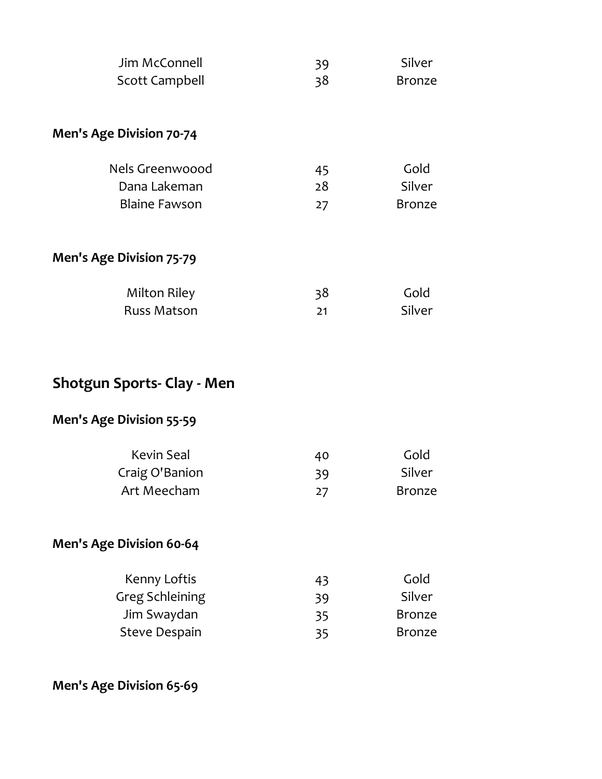| Jim McConnell                   | 39 | Silver        |
|---------------------------------|----|---------------|
| Scott Campbell                  | 38 | <b>Bronze</b> |
|                                 |    |               |
| <b>Men's Age Division 70-74</b> |    |               |
| Nels Greenwoood                 | 45 | Gold          |
| Dana Lakeman                    | 28 | Silver        |
| <b>Blaine Fawson</b>            | 27 | <b>Bronze</b> |
| <b>Men's Age Division 75-79</b> |    |               |
| Milton Riley                    | 38 | Gold          |
| <b>Russ Matson</b>              | 21 | Silver        |

# **Shotgun Sports- Clay - Men**

## **Men's Age Division 55-59**

| Kevin Seal     | 40 | Gold          |
|----------------|----|---------------|
| Craig O'Banion | 39 | Silver        |
| Art Meecham    | 27 | <b>Bronze</b> |

## **Men's Age Division 60-64**

| 43 | Gold          |
|----|---------------|
| 39 | Silver        |
| 35 | <b>Bronze</b> |
| 35 | <b>Bronze</b> |
|    |               |

**Men's Age Division 65-69**